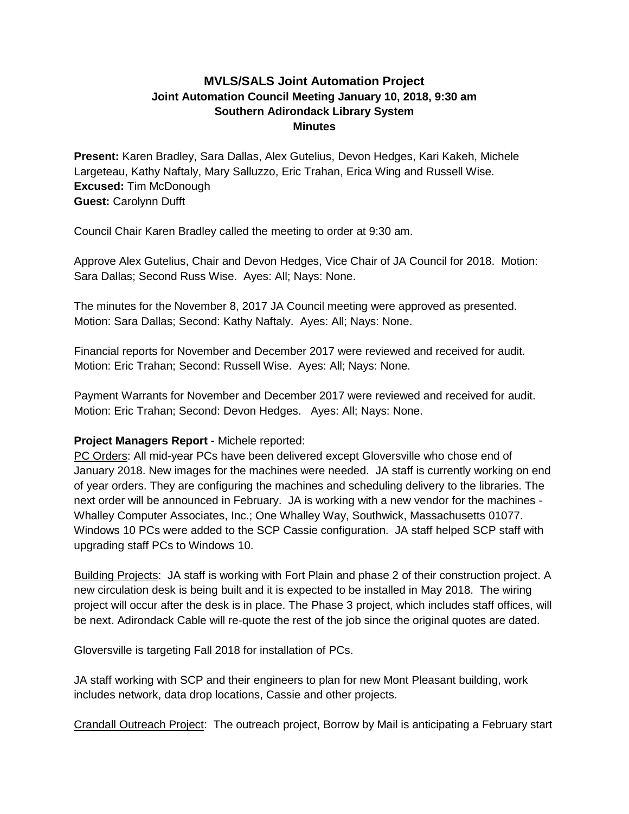## **MVLS/SALS Joint Automation Project Joint Automation Council Meeting January 10, 2018, 9:30 am Southern Adirondack Library System Minutes**

**Present:** Karen Bradley, Sara Dallas, Alex Gutelius, Devon Hedges, Kari Kakeh, Michele Largeteau, Kathy Naftaly, Mary Salluzzo, Eric Trahan, Erica Wing and Russell Wise. **Excused:** Tim McDonough **Guest:** Carolynn Dufft

Council Chair Karen Bradley called the meeting to order at 9:30 am.

Approve Alex Gutelius, Chair and Devon Hedges, Vice Chair of JA Council for 2018. Motion: Sara Dallas; Second Russ Wise. Ayes: All; Nays: None.

The minutes for the November 8, 2017 JA Council meeting were approved as presented. Motion: Sara Dallas; Second: Kathy Naftaly. Ayes: All; Nays: None.

Financial reports for November and December 2017 were reviewed and received for audit. Motion: Eric Trahan; Second: Russell Wise. Ayes: All; Nays: None.

Payment Warrants for November and December 2017 were reviewed and received for audit. Motion: Eric Trahan; Second: Devon Hedges. Ayes: All; Nays: None.

## **Project Managers Report -** Michele reported:

PC Orders: All mid-year PCs have been delivered except Gloversville who chose end of January 2018. New images for the machines were needed. JA staff is currently working on end of year orders. They are configuring the machines and scheduling delivery to the libraries. The next order will be announced in February. JA is working with a new vendor for the machines - Whalley Computer Associates, Inc.; One Whalley Way, Southwick, Massachusetts 01077. Windows 10 PCs were added to the SCP Cassie configuration. JA staff helped SCP staff with upgrading staff PCs to Windows 10.

Building Projects: JA staff is working with Fort Plain and phase 2 of their construction project. A new circulation desk is being built and it is expected to be installed in May 2018. The wiring project will occur after the desk is in place. The Phase 3 project, which includes staff offices, will be next. Adirondack Cable will re-quote the rest of the job since the original quotes are dated.

Gloversville is targeting Fall 2018 for installation of PCs.

JA staff working with SCP and their engineers to plan for new Mont Pleasant building, work includes network, data drop locations, Cassie and other projects.

Crandall Outreach Project: The outreach project, Borrow by Mail is anticipating a February start